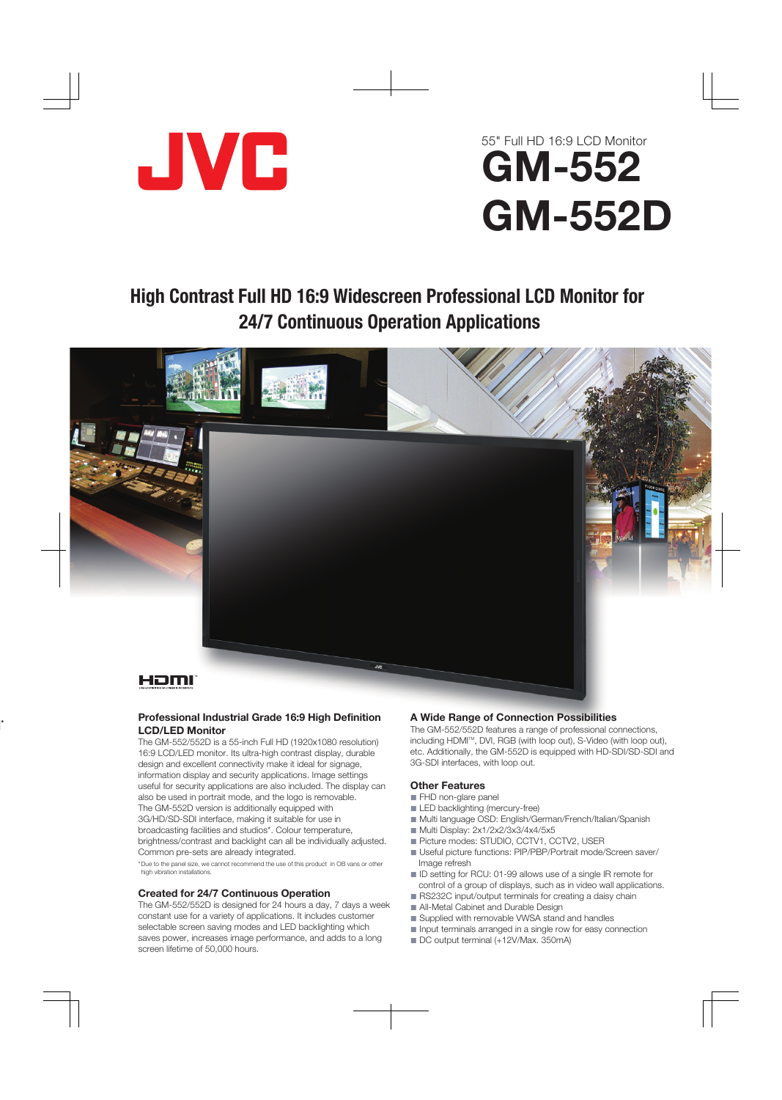

# 55" Full HD 16:9 LCD Monitor GM-552 GM-552D

## High Contrast Full HD 16:9 Widescreen Professional LCD Monitor for 24/7 Continuous Operation Applications



#### **Professional Industrial Grade 16:9 High Definition LCD/LED Monitor**

The GM-552/552D is a 55-inch Full HD (1920x1080 resolution) 16:9 LCD/LED monitor. Its ultra-high contrast display, durable design and excellent connectivity make it ideal for signage, information display and security applications. Image settings useful for security applications are also included. The display can also be used in portrait mode, and the logo is removable. The GM-552D version is additionally equipped with 3G/HD/SD-SDI interface, making it suitable for use in broadcasting facilities and studios\*. Colour temperature, brightness/contrast and backlight can all be individually adjusted. Common pre-sets are already integrated.

\* Due to the panel size, we cannot recommend the use of this product in OB vans or other high vibration installations.

### **Created for 24/7 Continuous Operation**

The GM-552/552D is designed for 24 hours a day, 7 days a week constant use for a variety of applications. It includes customer selectable screen saving modes and LED backlighting which saves power, increases image performance, and adds to a long screen lifetime of 50,000 hours.

### **A Wide Range of Connection Possibilities**

The GM-552/552D features a range of professional connections, including HDMI<sup>™</sup>, DVI, RGB (with loop out), S-Video (with loop out), etc. Additionally, the GM-552D is equipped with HD-SDI/SD-SDI and 3G-SDI interfaces, with loop out.

#### **Other Features**

- FHD non-glare panel
- **LED backlighting (mercury-free)**
- Multi language OSD: English/German/French/Italian/Spanish
- Multi Display: 2x1/2x2/3x3/4x4/5x5
- Picture modes: STUDIO, CCTV1, CCTV2, USER
- Useful picture functions: PIP/PBP/Portrait mode/Screen saver/ Image refresh
- ID setting for RCU: 01-99 allows use of a single IR remote for control of a group of displays, such as in video wall applications.
- RS232C input/output terminals for creating a daisy chain
- All-Metal Cabinet and Durable Design
- Supplied with removable VWSA stand and handles
- Input terminals arranged in a single row for easy connection
- DC output terminal (+12V/Max. 350mA)